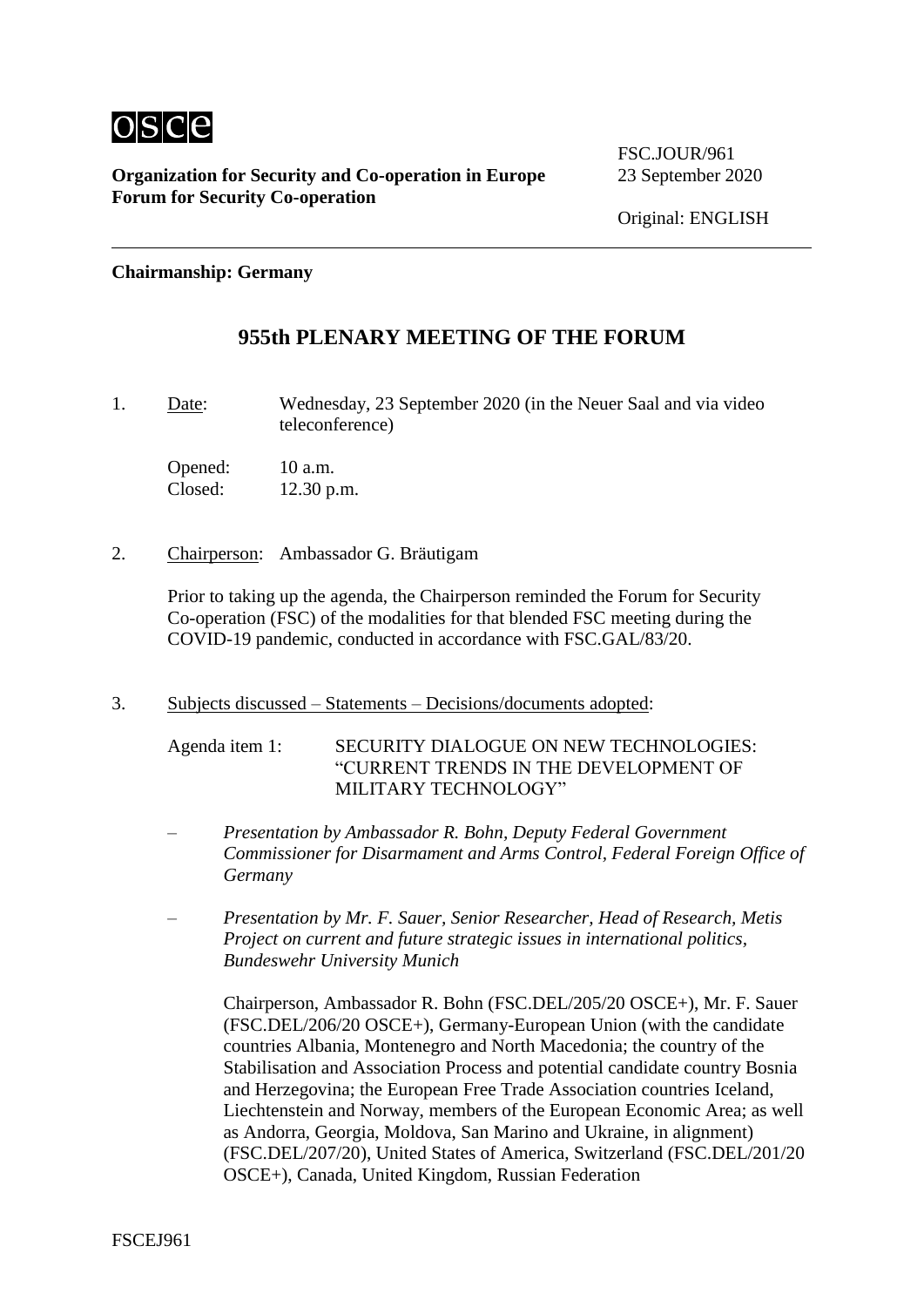

**Organization for Security and Co-operation in Europe** 23 September 2020 **Forum for Security Co-operation**

FSC. JOUR/961

#### **Chairmanship: Germany**

## **955th PLENARY MEETING OF THE FORUM**

1. Date: Wednesday, 23 September 2020 (in the Neuer Saal and via video teleconference)

Opened: 10 a.m. Closed: 12.30 p.m.

2. Chairperson: Ambassador G. Bräutigam

Prior to taking up the agenda, the Chairperson reminded the Forum for Security Co-operation (FSC) of the modalities for that blended FSC meeting during the COVID-19 pandemic, conducted in accordance with FSC.GAL/83/20.

3. Subjects discussed – Statements – Decisions/documents adopted:

Agenda item 1: SECURITY DIALOGUE ON NEW TECHNOLOGIES: "CURRENT TRENDS IN THE DEVELOPMENT OF MILITARY TECHNOLOGY"

- *Presentation by Ambassador R. Bohn, Deputy Federal Government Commissioner for Disarmament and Arms Control, Federal Foreign Office of Germany*
- *Presentation by Mr. F. Sauer, Senior Researcher, Head of Research, Metis Project on current and future strategic issues in international politics, Bundeswehr University Munich*

Chairperson, Ambassador R. Bohn (FSC.DEL/205/20 OSCE+), Mr. F. Sauer (FSC.DEL/206/20 OSCE+), Germany-European Union (with the candidate countries Albania, Montenegro and North Macedonia; the country of the Stabilisation and Association Process and potential candidate country Bosnia and Herzegovina; the European Free Trade Association countries Iceland, Liechtenstein and Norway, members of the European Economic Area; as well as Andorra, Georgia, Moldova, San Marino and Ukraine, in alignment) (FSC.DEL/207/20), United States of America, Switzerland (FSC.DEL/201/20 OSCE+), Canada, United Kingdom, Russian Federation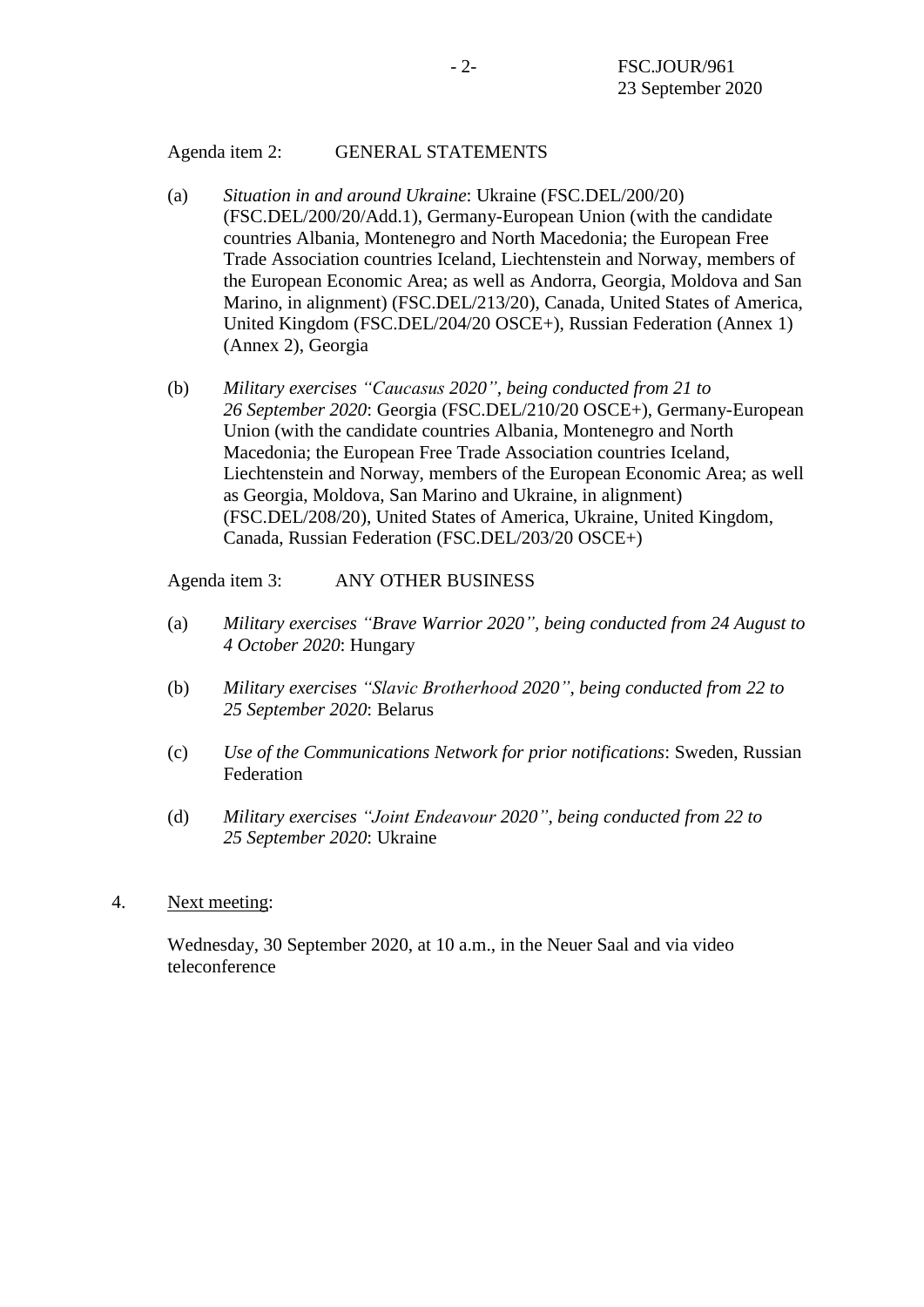### Agenda item 2: GENERAL STATEMENTS

- (a) *Situation in and around Ukraine*: Ukraine (FSC.DEL/200/20) (FSC.DEL/200/20/Add.1), Germany-European Union (with the candidate countries Albania, Montenegro and North Macedonia; the European Free Trade Association countries Iceland, Liechtenstein and Norway, members of the European Economic Area; as well as Andorra, Georgia, Moldova and San Marino, in alignment) (FSC.DEL/213/20), Canada, United States of America, United Kingdom (FSC.DEL/204/20 OSCE+), Russian Federation (Annex 1) (Annex 2), Georgia
- (b) *Military exercises "Caucasus 2020", being conducted from 21 to 26 September 2020*: Georgia (FSC.DEL/210/20 OSCE+), Germany-European Union (with the candidate countries Albania, Montenegro and North Macedonia; the European Free Trade Association countries Iceland, Liechtenstein and Norway, members of the European Economic Area; as well as Georgia, Moldova, San Marino and Ukraine, in alignment) (FSC.DEL/208/20), United States of America, Ukraine, United Kingdom, Canada, Russian Federation (FSC.DEL/203/20 OSCE+)

## Agenda item 3: ANY OTHER BUSINESS

- (a) *Military exercises "Brave Warrior 2020", being conducted from 24 August to 4 October 2020*: Hungary
- (b) *Military exercises "Slavic Brotherhood 2020", being conducted from 22 to 25 September 2020*: Belarus
- (c) *Use of the Communications Network for prior notifications*: Sweden, Russian Federation
- (d) *Military exercises "Joint Endeavour 2020", being conducted from 22 to 25 September 2020*: Ukraine
- 4. Next meeting:

Wednesday, 30 September 2020, at 10 a.m., in the Neuer Saal and via video teleconference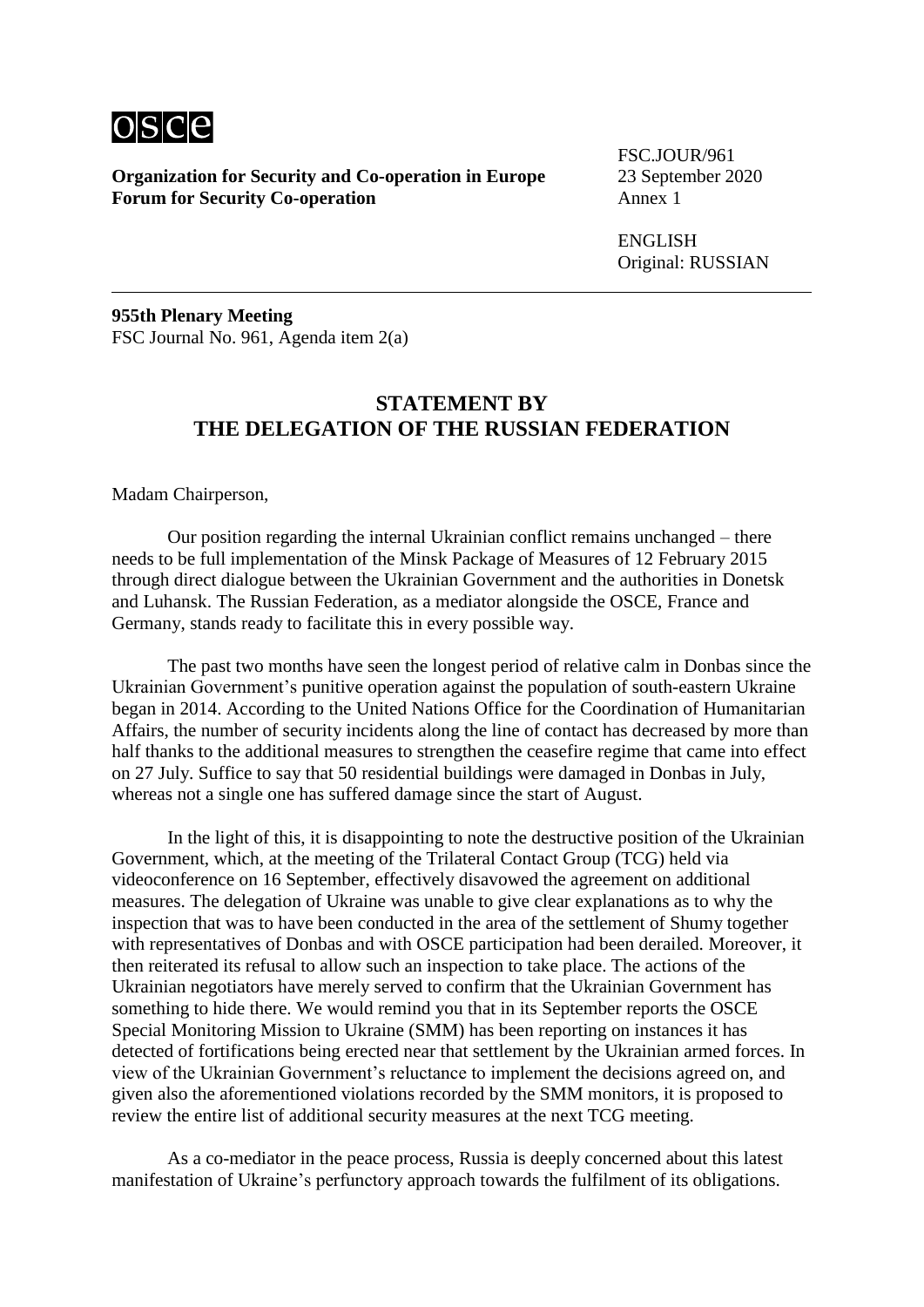

**Organization for Security and Co-operation in Europe** 23 September 2020 **Forum for Security Co-operation** 

FSC.JOUR/961

ENGLISH Original: RUSSIAN

**955th Plenary Meeting** FSC Journal No. 961, Agenda item 2(a)

# **STATEMENT BY THE DELEGATION OF THE RUSSIAN FEDERATION**

Madam Chairperson,

Our position regarding the internal Ukrainian conflict remains unchanged – there needs to be full implementation of the Minsk Package of Measures of 12 February 2015 through direct dialogue between the Ukrainian Government and the authorities in Donetsk and Luhansk. The Russian Federation, as a mediator alongside the OSCE, France and Germany, stands ready to facilitate this in every possible way.

The past two months have seen the longest period of relative calm in Donbas since the Ukrainian Government's punitive operation against the population of south-eastern Ukraine began in 2014. According to the United Nations Office for the Coordination of Humanitarian Affairs, the number of security incidents along the line of contact has decreased by more than half thanks to the additional measures to strengthen the ceasefire regime that came into effect on 27 July. Suffice to say that 50 residential buildings were damaged in Donbas in July, whereas not a single one has suffered damage since the start of August.

In the light of this, it is disappointing to note the destructive position of the Ukrainian Government, which, at the meeting of the Trilateral Contact Group (TCG) held via videoconference on 16 September, effectively disavowed the agreement on additional measures. The delegation of Ukraine was unable to give clear explanations as to why the inspection that was to have been conducted in the area of the settlement of Shumy together with representatives of Donbas and with OSCE participation had been derailed. Moreover, it then reiterated its refusal to allow such an inspection to take place. The actions of the Ukrainian negotiators have merely served to confirm that the Ukrainian Government has something to hide there. We would remind you that in its September reports the OSCE Special Monitoring Mission to Ukraine (SMM) has been reporting on instances it has detected of fortifications being erected near that settlement by the Ukrainian armed forces. In view of the Ukrainian Government's reluctance to implement the decisions agreed on, and given also the aforementioned violations recorded by the SMM monitors, it is proposed to review the entire list of additional security measures at the next TCG meeting.

As a co-mediator in the peace process, Russia is deeply concerned about this latest manifestation of Ukraine's perfunctory approach towards the fulfilment of its obligations.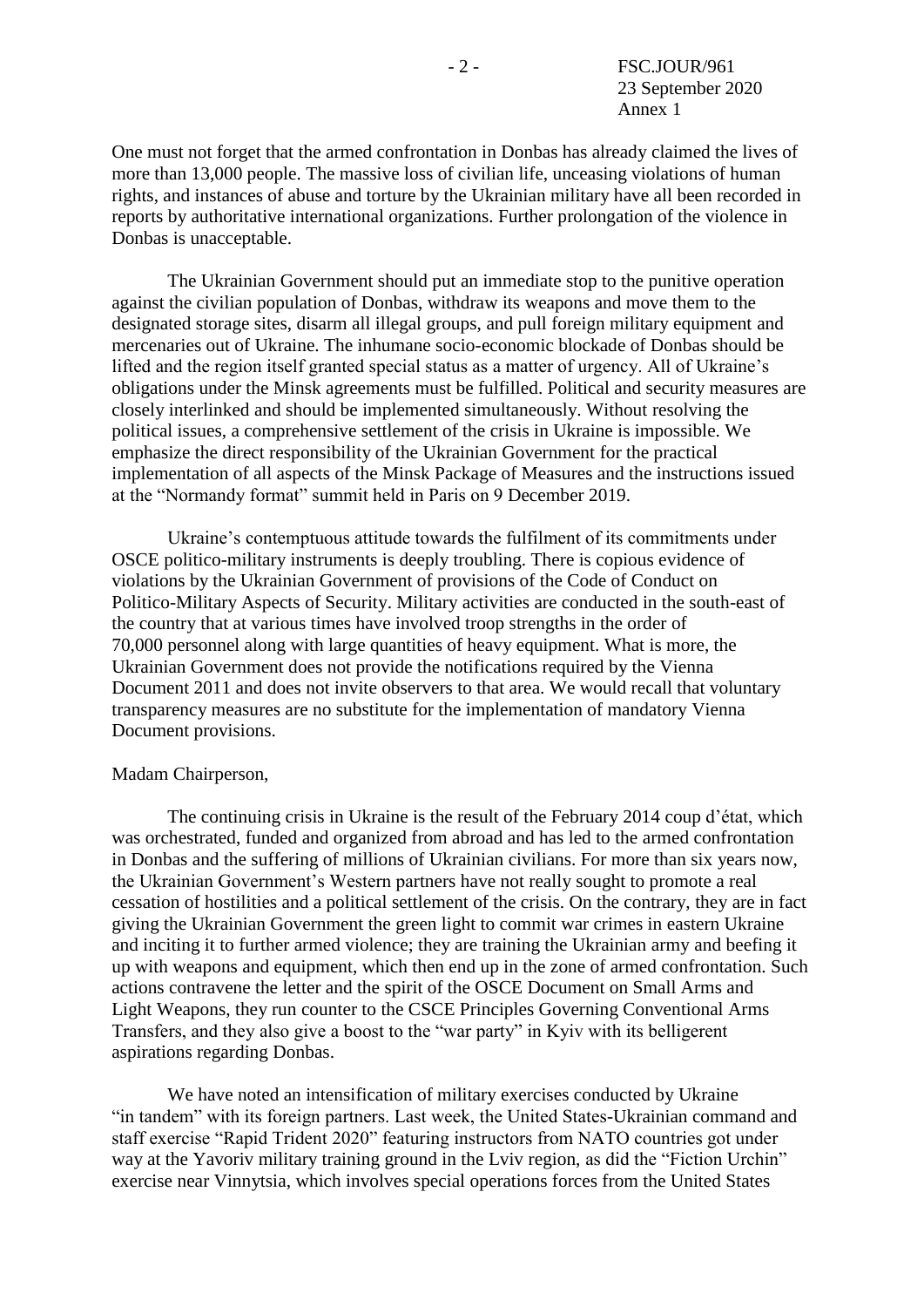One must not forget that the armed confrontation in Donbas has already claimed the lives of more than 13,000 people. The massive loss of civilian life, unceasing violations of human rights, and instances of abuse and torture by the Ukrainian military have all been recorded in reports by authoritative international organizations. Further prolongation of the violence in Donbas is unacceptable.

The Ukrainian Government should put an immediate stop to the punitive operation against the civilian population of Donbas, withdraw its weapons and move them to the designated storage sites, disarm all illegal groups, and pull foreign military equipment and mercenaries out of Ukraine. The inhumane socio-economic blockade of Donbas should be lifted and the region itself granted special status as a matter of urgency. All of Ukraine's obligations under the Minsk agreements must be fulfilled. Political and security measures are closely interlinked and should be implemented simultaneously. Without resolving the political issues, a comprehensive settlement of the crisis in Ukraine is impossible. We emphasize the direct responsibility of the Ukrainian Government for the practical implementation of all aspects of the Minsk Package of Measures and the instructions issued at the "Normandy format" summit held in Paris on 9 December 2019.

Ukraine's contemptuous attitude towards the fulfilment of its commitments under OSCE politico-military instruments is deeply troubling. There is copious evidence of violations by the Ukrainian Government of provisions of the Code of Conduct on Politico-Military Aspects of Security. Military activities are conducted in the south-east of the country that at various times have involved troop strengths in the order of 70,000 personnel along with large quantities of heavy equipment. What is more, the Ukrainian Government does not provide the notifications required by the Vienna Document 2011 and does not invite observers to that area. We would recall that voluntary transparency measures are no substitute for the implementation of mandatory Vienna Document provisions.

#### Madam Chairperson,

The continuing crisis in Ukraine is the result of the February 2014 coup d'état, which was orchestrated, funded and organized from abroad and has led to the armed confrontation in Donbas and the suffering of millions of Ukrainian civilians. For more than six years now, the Ukrainian Government's Western partners have not really sought to promote a real cessation of hostilities and a political settlement of the crisis. On the contrary, they are in fact giving the Ukrainian Government the green light to commit war crimes in eastern Ukraine and inciting it to further armed violence; they are training the Ukrainian army and beefing it up with weapons and equipment, which then end up in the zone of armed confrontation. Such actions contravene the letter and the spirit of the OSCE Document on Small Arms and Light Weapons, they run counter to the CSCE Principles Governing Conventional Arms Transfers, and they also give a boost to the "war party" in Kyiv with its belligerent aspirations regarding Donbas.

We have noted an intensification of military exercises conducted by Ukraine "in tandem" with its foreign partners. Last week, the United States-Ukrainian command and staff exercise "Rapid Trident 2020" featuring instructors from NATO countries got under way at the Yavoriv military training ground in the Lviv region, as did the "Fiction Urchin" exercise near Vinnytsia, which involves special operations forces from the United States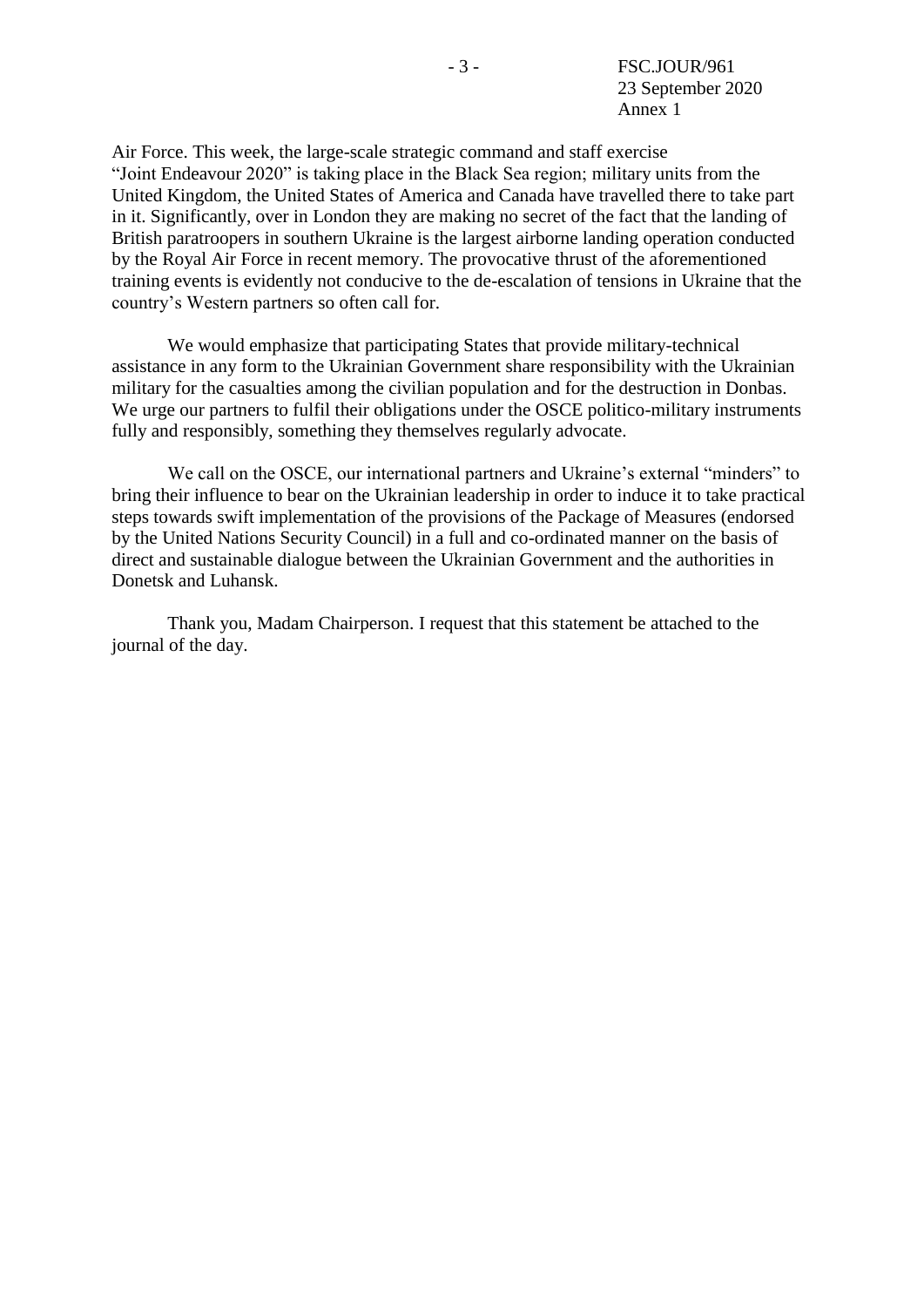Air Force. This week, the large-scale strategic command and staff exercise "Joint Endeavour 2020" is taking place in the Black Sea region; military units from the United Kingdom, the United States of America and Canada have travelled there to take part in it. Significantly, over in London they are making no secret of the fact that the landing of British paratroopers in southern Ukraine is the largest airborne landing operation conducted by the Royal Air Force in recent memory. The provocative thrust of the aforementioned training events is evidently not conducive to the de-escalation of tensions in Ukraine that the country's Western partners so often call for.

We would emphasize that participating States that provide military-technical assistance in any form to the Ukrainian Government share responsibility with the Ukrainian military for the casualties among the civilian population and for the destruction in Donbas. We urge our partners to fulfil their obligations under the OSCE politico-military instruments fully and responsibly, something they themselves regularly advocate.

We call on the OSCE, our international partners and Ukraine's external "minders" to bring their influence to bear on the Ukrainian leadership in order to induce it to take practical steps towards swift implementation of the provisions of the Package of Measures (endorsed by the United Nations Security Council) in a full and co-ordinated manner on the basis of direct and sustainable dialogue between the Ukrainian Government and the authorities in Donetsk and Luhansk.

Thank you, Madam Chairperson. I request that this statement be attached to the journal of the day.